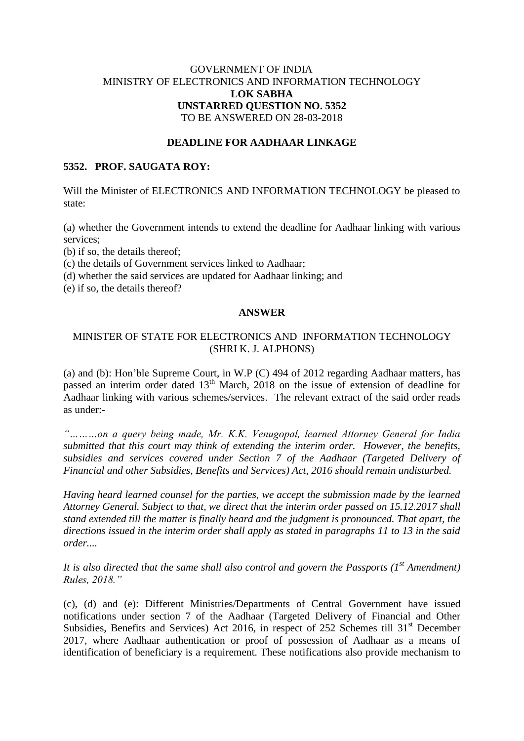## GOVERNMENT OF INDIA MINISTRY OF ELECTRONICS AND INFORMATION TECHNOLOGY **LOK SABHA UNSTARRED QUESTION NO. 5352** TO BE ANSWERED ON 28-03-2018

### **DEADLINE FOR AADHAAR LINKAGE**

#### **5352. PROF. SAUGATA ROY:**

Will the Minister of ELECTRONICS AND INFORMATION TECHNOLOGY be pleased to state:

(a) whether the Government intends to extend the deadline for Aadhaar linking with various services;

(b) if so, the details thereof;

(c) the details of Government services linked to Aadhaar;

(d) whether the said services are updated for Aadhaar linking; and

(e) if so, the details thereof?

# **ANSWER**

## MINISTER OF STATE FOR ELECTRONICS AND INFORMATION TECHNOLOGY (SHRI K. J. ALPHONS)

(a) and (b): Hon'ble Supreme Court, in W.P (C) 494 of 2012 regarding Aadhaar matters, has passed an interim order dated  $13<sup>th</sup>$  March, 2018 on the issue of extension of deadline for Aadhaar linking with various schemes/services. The relevant extract of the said order reads as under:-

*"………on a query being made, Mr. K.K. Venugopal, learned Attorney General for India submitted that this court may think of extending the interim order. However, the benefits, subsidies and services covered under Section 7 of the Aadhaar (Targeted Delivery of Financial and other Subsidies, Benefits and Services) Act, 2016 should remain undisturbed.* 

*Having heard learned counsel for the parties, we accept the submission made by the learned Attorney General. Subject to that, we direct that the interim order passed on 15.12.2017 shall stand extended till the matter is finally heard and the judgment is pronounced. That apart, the directions issued in the interim order shall apply as stated in paragraphs 11 to 13 in the said order....*

*It is also directed that the same shall also control and govern the Passports (1st Amendment) Rules, 2018."*

(c), (d) and (e): Different Ministries/Departments of Central Government have issued notifications under section 7 of the Aadhaar (Targeted Delivery of Financial and Other Subsidies, Benefits and Services) Act 2016, in respect of 252 Schemes till  $31<sup>st</sup>$  December 2017, where Aadhaar authentication or proof of possession of Aadhaar as a means of identification of beneficiary is a requirement. These notifications also provide mechanism to